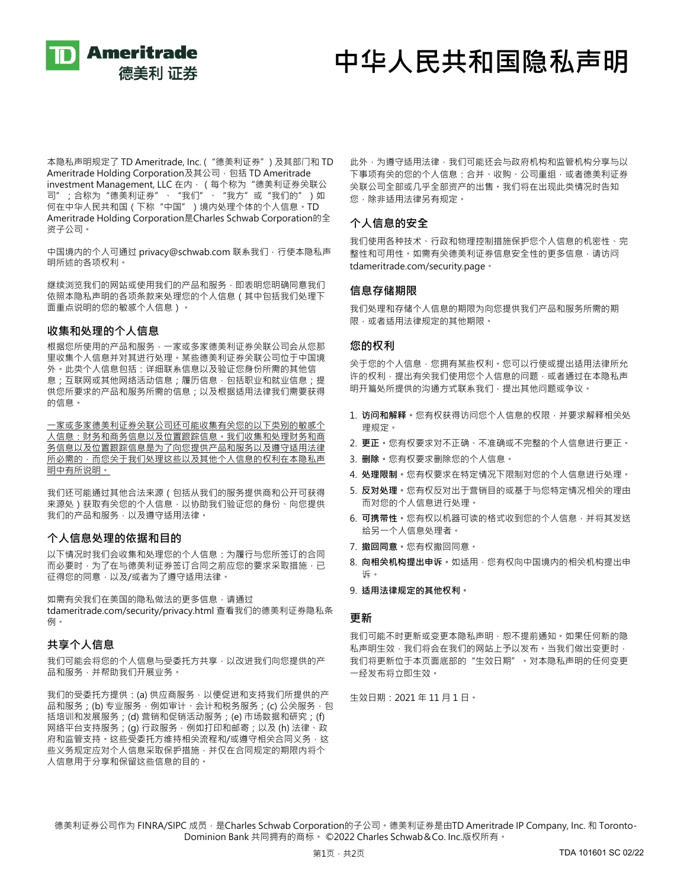

# **中华人民共和国隐私声明**

本隐私声明规定了 TD Ameritrade, Inc. ("德美利证券") 及其部门和 TD Ameritrade Holding Corporation及其公司,包括 TD Ameritrade investment Management, LLC 在内, (每个称为"德美利证券关联公 司";合称为"德美利证券"、"我们"、"我方"或"我们的")如 何在中华人民共和国(下称"中国")境内处理个体的个人信息。TD Ameritrade Holding Corporation是Charles Schwab Corporation的全 资子公司。

中国境内的个人可通过 privacy@schwab.com 联系我们, 行使本隐私声 明所述的各项权利。

继续浏览我们的网站或使用我们的产品和服务,即表明您明确同意我们 依照本隐私声明的各项条款来处理您的个人信息(其中包括我们处理下 面重点说明的您的敏感个人信息)。

### **收集和处理的个人信息**

根据您所使用的产品和服务,一家或多家德美利证券关联公司会从您那 里收集个人信息并对其进行处理。某些德美利证券关联公司位于中国境 外。此类个人信息包括:详细联系信息以及验证您身份所需的其他信 息;互联网或其他网络活动信息;履历信息,包括职业和就业信息;提 供您所要求的产品和服务所需的信息;以及根据适用法律我们需要获得 的信息。

一家或多家德美利证券关联公司还可能收集有关您的以下类别的敏感个 人信息:财务和商务信息以及位置跟踪信息。我们收集和处理财务和商 务信息以及位置跟踪信息是为了向您提供产品和服务以及遵守适用法律 所必需的,而您关于我们处理这些以及其他个人信息的权利在本隐私声 明中有所说明。

我们还可能通过其他合法来源(包括从我们的服务提供商和公开可获得 来源处)获取有关您的个人信息,以协助我们验证您的身份、向您提供 我们的产品和服务,以及遵守适用法律。

### **个人信息处理的依据和目的**

以下情况时我们会收集和处理您的个人信息:为履行与您所签订的合同 而必要时,为了在与德美利证券签订合同之前应您的要求采取措施,已 征得您的同意,以及/或者为了遵守适用法律。

如需有关我们在美国的隐私做法的更多信息,请通过 tdameritrade.com/security/privacy.html 查看我们的德美利证券隐私条 例。

## **共享个人信息**

我们可能会将您的个人信息与受委托方共享,以改进我们向您提供的产 品和服务,并帮助我们开展业务。

我们的受委托方提供: (a) 供应商服务, 以便促进和支持我们所提供的产 品和服务;(b) 专业服务,例如审计、会计和税务服务;(c) 公关服务, 包 括培训和发展服务;(d) 营销和促销活动服务;(e) 市场数据和研究;(f) 网络平台支持服务;(g) 行政服务, 例如打印和邮寄;以及(h) 法律、政 府和监管支持。这些受委托方维持相关流程和/或遵守相关合同义务,这 些义务规定应对个人信息采取保护措施,并仅在合同规定的期限内将个 人信息用于分享和保留这些信息的目的。

此外,为遵守适用法律,我们可能还会与政府机构和监管机构分享与以 下事项有关的您的个人信息:合并、收购、公司重组,或者德美利证券 关联公司全部或几乎全部资产的出售。我们将在出现此类情况时告知 您,除非适用法律另有规定。

### **个人信息的安全**

我们使用各种技术、行政和物理控制措施保护您个人信息的机密性、完 整性和可用性。如需有关德美利证券信息安全性的更多信息,请访问 tdameritrade.com/security.page。

## **信息存储期限**

我们处理和存储个人信息的期限为向您提供我们产品和服务所需的期 限,或者适用法律规定的其他期限。

### **您的权利**

关于您的个人信息,您拥有某些权利。您可以行使或提出适用法律所允 许的权利,提出有关我们使用您个人信息的问题,或者通过在本隐私声 明开篇处所提供的沟通方式联系我们,提出其他问题或争议。

- 1. **访问和解释。**您有权获得访问您个人信息的权限,并要求解释相关处 理规定。
- 2. **更正。**您有权要求对不正确、不准确或不完整的个人信息进行更正。
- 3. **删除。**您有权要求删除您的个人信息。
- 4. **处理限制。**您有权要求在特定情况下限制对您的个人信息进行处理。
- 5. **反对处理。**您有权反对出于营销目的或基于与您特定情况相关的理由 而对您的个人信息进行处理。
- 6. **可携带性。**您有权以机器可读的格式收到您的个人信息,并将其发送 给另一个人信息处理者。
- 7. **撤回同意。**您有权撤回同意。
- 8. 向相关机构提出申诉。如适用,您有权向中国境内的相关机构提出申 诉。
- 9. **适用法律规定的其他权利。**

### **更新**

我们可能不时更新或变更本隐私声明,恕不提前通知。如果任何新的隐 私声明生效,我们将会在我们的网站上予以发布。当我们做出变更时, 我们将更新位于本页面底部的"生效日期"。对本隐私声明的任何变更 一经发布将立即生效。

生效日期:2021 年 11 月 1 日。

德美利证券公司作为 FINRA/SIPC 成员, 是Charles Schwab Corporation的子公司。德美利证券是由TD Ameritrade IP Company, Inc. 和 Toronto-Dominion Bank 共同拥有的商标。 ©2022 Charles Schwab&Co. Inc.版权所有。